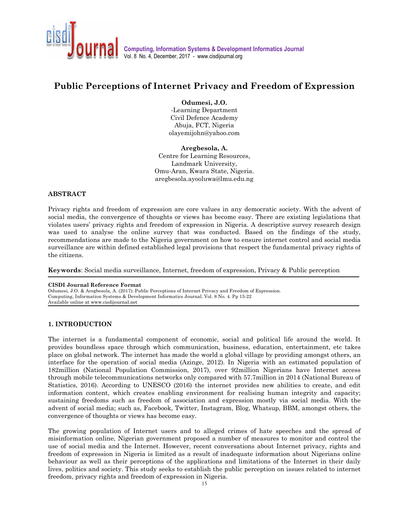

# **Public Perceptions of Internet Privacy and Freedom of Expression**

**Odumesi, J.O.** 

-Learning Department Civil Defence Academy Abuja, FCT, Nigeria olayemijohn@yahoo.com

**Aregbesola, A.**  Centre for Learning Resources, Landmark University, Omu-Aran, Kwara State, Nigeria. aregbesola.ayooluwa@lmu.edu.ng

#### **ABSTRACT**

Privacy rights and freedom of expression are core values in any democratic society. With the advent of social media, the convergence of thoughts or views has become easy. There are existing legislations that violates users' privacy rights and freedom of expression in Nigeria. A descriptive survey research design was used to analyse the online survey that was conducted. Based on the findings of the study, recommendations are made to the Nigeria government on how to ensure internet control and social media surveillance are within defined established legal provisions that respect the fundamental privacy rights of the citizens.

**Keywords**: Social media surveillance, Internet, freedom of expression, Privacy & Public perception

#### **CISDI Journal Reference Format**

Odumesi, J.O. & Aregbesola, A. (2017): Public Perceptions of Internet Privacy and Freedom of Expression. Computing, Information Systems & Development Informatics Journal. Vol. 8 No. 4. Pp 15-22 Available online at www.cisdijournal.net

### **1. INTRODUCTION**

j

The internet is a fundamental component of economic, social and political life around the world. It provides boundless space through which communication, business, education, entertainment, etc takes place on global network. The internet has made the world a global village by providing amongst others, an interface for the operation of social media (Azinge, 2012). In Nigeria with an estimated population of 182million (National Population Commission, 2017), over 92million Nigerians have Internet access through mobile telecommunications networks only compared with 57.7million in 2014 (National Bureau of Statistics, 2016). According to UNESCO (2016) the internet provides new abilities to create, and edit information content, which creates enabling environment for realising human integrity and capacity; sustaining freedoms such as freedom of association and expression mostly via social media. With the advent of social media; such as, Facebook, Twitter, Instagram, Blog, Whatsup, BBM, amongst others, the convergence of thoughts or views has become easy.

The growing population of Internet users and to alleged crimes of hate speeches and the spread of misinformation online, Nigerian government proposed a number of measures to monitor and control the use of social media and the Internet. However, recent conversations about Internet privacy, rights and freedom of expression in Nigeria is limited as a result of inadequate information about Nigerians online behaviour as well as their perceptions of the applications and limitations of the Internet in their daily lives, politics and society. This study seeks to establish the public perception on issues related to internet freedom, privacy rights and freedom of expression in Nigeria.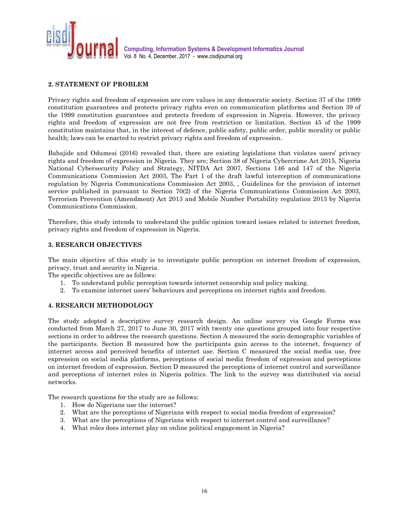

## **2. STATEMENT OF PROBLEM**

Privacy rights and freedom of expression are core values in any democratic society. Section 37 of the 1999 constitution guarantees and protects privacy rights even on communication platforms and Section 39 of the 1999 constitution guarantees and protects freedom of expression in Nigeria. However, the privacy rights and freedom of expression are not free from restriction or limitation. Section 45 of the 1999 constitution maintains that, in the interest of defence, public safety, public order, public morality or public health; laws can be enacted to restrict privacy rights and freedom of expression.

Babajide and Odumesi (2016) revealed that, there are existing legislations that violates users' privacy rights and freedom of expression in Nigeria. They are; Section 38 of Nigeria Cybercrime Act 2015, Nigeria National Cybersecurity Policy and Strategy, NITDA Act 2007, Sections 146 and 147 of the Nigeria Communications Commission Act 2003, The Part 1 of the draft lawful interception of communications regulation by Nigeria Communications Commission Act 2003, , Guidelines for the provision of internet service published in pursuant to Section 70(2) of the Nigeria Communications Commission Act 2003, Terrorism Prevention (Amendment) Act 2013 and Mobile Number Portability regulation 2013 by Nigeria Communications Commission.

Therefore, this study intends to understand the public opinion toward issues related to internet freedom, privacy rights and freedom of expression in Nigeria.

#### **3. RESEARCH OBJECTIVES**

The main objective of this study is to investigate public perception on internet freedom of expression, privacy, trust and security in Nigeria.

The specific objectives are as follows:

- 1. To understand public perception towards internet censorship and policy making.
- 2. To examine internet users' behaviours and perceptions on internet rights and freedom.

#### **4. RESEARCH METHODOLOGY**

The study adopted a descriptive survey research design. An online survey via Google Forms was conducted from March 27, 2017 to June 30, 2017 with twenty one questions grouped into four respective sections in order to address the research questions. Section A measured the socio demographic variables of the participants. Section B measured how the participants gain access to the internet, frequency of internet access and perceived benefits of internet use. Section C measured the social media use, free expression on social media platforms, perceptions of social media freedom of expression and perceptions on internet freedom of expression. Section D measured the perceptions of internet control and surveillance and perceptions of internet roles in Nigeria politics. The link to the survey was distributed via social networks.

The research questions for the study are as follows:

- 1. How do Nigerians use the internet?
- 2. What are the perceptions of Nigerians with respect to social media freedom of expression?
- 3. What are the perceptions of Nigerians with respect to internet control and surveillance?
- 4. What roles does internet play on online political engagement in Nigeria?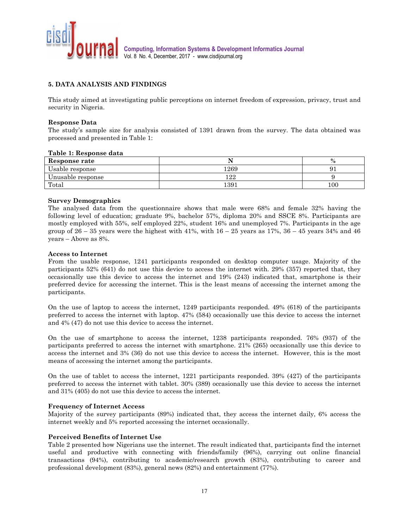

# **5. DATA ANALYSIS AND FINDINGS**

This study aimed at investigating public perceptions on internet freedom of expression, privacy, trust and security in Nigeria.

#### **Response Data**

The study's sample size for analysis consisted of 1391 drawn from the survey. The data obtained was processed and presented in Table 1:

#### **Table 1: Response data**

| Response rate     |           | $\mathbf{0}$ |
|-------------------|-----------|--------------|
| Jsable response   | 1269      |              |
| Unusable response | ററ<br>-44 |              |
| Total             | 1391      | 100          |

#### **Survey Demographics**

The analysed data from the questionnaire shows that male were 68% and female 32% having the following level of education; graduate 9%, bachelor 57%, diploma 20% and SSCE 8%. Participants are mostly employed with 55%, self employed 22%, student 16% and unemployed 7%. Participants in the age group of  $26 - 35$  years were the highest with  $41\%$ , with  $16 - 25$  years as  $17\%$ ,  $36 - 45$  years  $34\%$  and  $46$ years – Above as 8%.

#### **Access to Internet**

From the usable response, 1241 participants responded on desktop computer usage. Majority of the participants 52% (641) do not use this device to access the internet with. 29% (357) reported that, they occasionally use this device to access the internet and 19% (243) indicated that, smartphone is their preferred device for accessing the internet. This is the least means of accessing the internet among the participants.

On the use of laptop to access the internet, 1249 participants responded. 49% (618) of the participants preferred to access the internet with laptop. 47% (584) occasionally use this device to access the internet and 4% (47) do not use this device to access the internet.

On the use of smartphone to access the internet, 1238 participants responded. 76% (937) of the participants preferred to access the internet with smartphone. 21% (265) occasionally use this device to access the internet and 3% (36) do not use this device to access the internet. However, this is the most means of accessing the internet among the participants.

On the use of tablet to access the internet, 1221 participants responded. 39% (427) of the participants preferred to access the internet with tablet. 30% (389) occasionally use this device to access the internet and 31% (405) do not use this device to access the internet.

#### **Frequency of Internet Access**

Majority of the survey participants (89%) indicated that, they access the internet daily, 6% access the internet weekly and 5% reported accessing the internet occasionally.

#### **Perceived Benefits of Internet Use**

Table 2 presented how Nigerians use the internet. The result indicated that, participants find the internet useful and productive with connecting with friends/family (96%), carrying out online financial transactions (94%), contributing to academic/research growth (83%), contributing to career and professional development (83%), general news (82%) and entertainment (77%).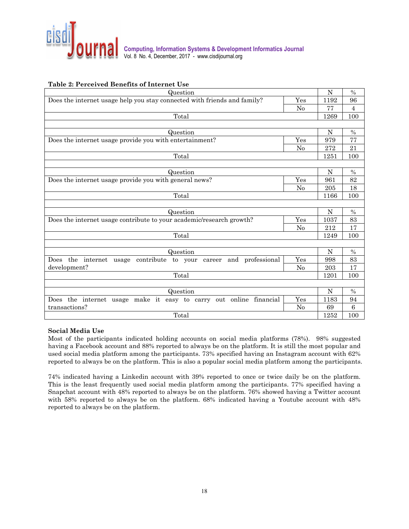

# **Table 2: Perceived Benefits of Internet Use**

| Question                                                                 |                | N    | $\frac{0}{0}$   |
|--------------------------------------------------------------------------|----------------|------|-----------------|
| Does the internet usage help you stay connected with friends and family? | Yes            | 1192 | 96              |
|                                                                          | No             | 77   | 4               |
| Total                                                                    |                | 1269 | 100             |
|                                                                          |                |      |                 |
| Question                                                                 |                | N    | $\%$            |
| Does the internet usage provide you with entertainment?                  | Yes            | 979  | 77              |
|                                                                          | N <sub>0</sub> | 272  | 21              |
| Total                                                                    |                | 1251 | 100             |
|                                                                          |                |      |                 |
| Question                                                                 |                | N    | $\%$            |
| Does the internet usage provide you with general news?                   | 961            | 82   |                 |
| Yes<br>N <sub>0</sub><br>Total<br>Question<br>Yes<br>$\rm No$            |                | 205  | 18              |
|                                                                          |                | 1166 | 100             |
|                                                                          |                |      |                 |
|                                                                          |                | N    | $\%$            |
| Does the internet usage contribute to your academic/research growth?     |                | 1037 | 83              |
| Total<br>Question<br>Yes<br>$\rm No$<br>Total<br>Question<br>Yes         |                | 212  | 17              |
|                                                                          |                | 1249 | 100             |
|                                                                          |                |      |                 |
|                                                                          |                | N    | $\frac{0}{0}$   |
| Does the internet usage contribute to your career and professional       |                | 998  | 83              |
| development?                                                             |                | 203  | 17              |
|                                                                          |                | 1201 | 100             |
|                                                                          |                |      |                 |
|                                                                          |                | N    | $\frac{0}{0}$   |
| Does the internet usage make it easy to carry out online financial       |                | 1183 | 94              |
| transactions?                                                            | N <sub>0</sub> | 69   | $6\phantom{.}6$ |
| Total                                                                    |                | 1252 | 100             |

### **Social Media Use**

Most of the participants indicated holding accounts on social media platforms (78%). 98% suggested having a Facebook account and 88% reported to always be on the platform. It is still the most popular and used social media platform among the participants. 73% specified having an Instagram account with 62% reported to always be on the platform. This is also a popular social media platform among the participants.

74% indicated having a Linkedin account with 39% reported to once or twice daily be on the platform. This is the least frequently used social media platform among the participants. 77% specified having a Snapchat account with 48% reported to always be on the platform. 76% showed having a Twitter account with 58% reported to always be on the platform. 68% indicated having a Youtube account with 48% reported to always be on the platform.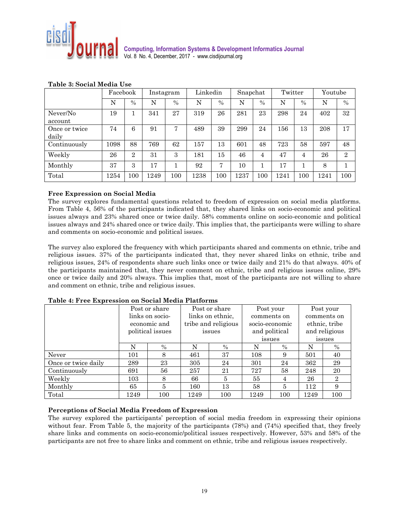

|                        | Facebook |                |      | Linkedin<br>Twitter<br>Snapchat<br>Instagram |      |               | Youtube |      |      |      |      |                |
|------------------------|----------|----------------|------|----------------------------------------------|------|---------------|---------|------|------|------|------|----------------|
|                        | N        | $\frac{0}{0}$  | N    | $\frac{0}{0}$                                | N    | $\frac{0}{0}$ | N       | $\%$ | N    | $\%$ | N    | $\frac{0}{0}$  |
| Never/No<br>account    | 19       |                | 341  | 27                                           | 319  | 26            | 281     | 23   | 298  | 24   | 402  | 32             |
| Once or twice<br>daily | 74       | 6              | 91   | 7                                            | 489  | 39            | 299     | 24   | 156  | 13   | 208  | 17             |
| Continuously           | 1098     | 88             | 769  | 62                                           | 157  | 13            | 601     | 48   | 723  | 58   | 597  | 48             |
| Weekly                 | 26       | $\overline{2}$ | 31   | 3                                            | 181  | 15            | 46      | 4    | 47   | 4    | 26   | $\overline{2}$ |
| Monthly                | 37       | 3              | 17   |                                              | 92   | 7             | 10      |      | 17   |      | 8    |                |
| Total                  | 1254     | 100            | 1249 | 100                                          | 1238 | 100           | 1237    | 100  | 1241 | 100  | 1241 | 100            |

### **Table 3: Social Media Use**

### **Free Expression on Social Media**

The survey explores fundamental questions related to freedom of expression on social media platforms. From Table 4, 56% of the participants indicated that, they shared links on socio-economic and political issues always and 23% shared once or twice daily. 58% comments online on socio-economic and political issues always and 24% shared once or twice daily. This implies that, the participants were willing to share and comments on socio-economic and political issues.

The survey also explored the frequency with which participants shared and comments on ethnic, tribe and religious issues. 37% of the participants indicated that, they never shared links on ethnic, tribe and religious issues, 24% of respondents share such links once or twice daily and 21% do that always. 40% of the participants maintained that, they never comment on ethnic, tribe and religious issues online, 29% once or twice daily and 20% always. This implies that, most of the participants are not willing to share and comment on ethnic, tribe and religious issues.

|                     | Post or share    |               |                     | Post or share    |               | Post your      | Post your     |                |  |
|---------------------|------------------|---------------|---------------------|------------------|---------------|----------------|---------------|----------------|--|
|                     | links on socio-  |               |                     | links on ethnic. |               | comments on    | comments on   |                |  |
|                     |                  | economic and  | tribe and religious |                  |               | socio-economic | ethnic, tribe |                |  |
|                     | political issues |               | issues              |                  | and political |                | and religious |                |  |
|                     |                  |               |                     |                  |               | issues         | issues        |                |  |
|                     | N                | $\frac{0}{0}$ | N                   | $\%$             | N             | $\frac{0}{0}$  | N             | $\%$           |  |
| Never               | 101              | 8             | 461                 | 37               | 108           | 9              | 501           | 40             |  |
| Once or twice daily | 289              | 23            | 305                 | 24               | 301           | 24             | 362           | 29             |  |
| Continuously        | 691              | 56            | 257                 | 21               | 727           | 58             | 248           | 20             |  |
| Weekly              | 103              | 8             | 66                  | 5                | 55            | 4              | 26            | $\overline{2}$ |  |
| Monthly             | 65               | 5             | 160                 | 13               | 58            | 5              | 112           | 9              |  |
| Total               | 1249             | 100           | 1249                | 100              | 1249          | 100            | 1249          | 100            |  |

#### **Table 4: Free Expression on Social Media Platforms**

#### **Perceptions of Social Media Freedom of Expression**

The survey explored the participants' perception of social media freedom in expressing their opinions without fear. From Table 5, the majority of the participants (78%) and (74%) specified that, they freely share links and comments on socio-economic/political issues respectively. However, 53% and 58% of the participants are not free to share links and comment on ethnic, tribe and religious issues respectively.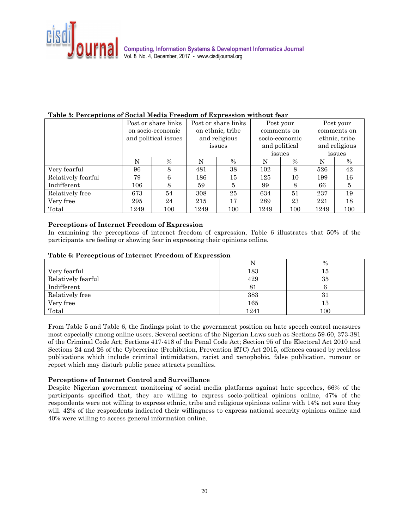

## **Table 5: Perceptions of Social Media Freedom of Expression without fear**

|                    |                      | Post or share links<br>Post or share links |      |                  |               | Post your      | Post your     |             |  |
|--------------------|----------------------|--------------------------------------------|------|------------------|---------------|----------------|---------------|-------------|--|
|                    |                      | on socio-economic                          |      | on ethnic, tribe |               | comments on    |               | comments on |  |
|                    | and political issues |                                            |      | and religious    |               | socio-economic | ethnic, tribe |             |  |
|                    |                      |                                            |      | issues           | and political |                | and religious |             |  |
|                    |                      |                                            |      |                  |               | issues         | issues        |             |  |
|                    | N                    | $\frac{0}{0}$                              | N    | $\%$             | N             | $\%$           | N             | $\%$        |  |
| Very fearful       | 96                   | 8                                          | 481  | 38               | 102           | 8              | 526           | 42          |  |
| Relatively fearful | 79                   | 6                                          | 186  | 15               | 125           | 10             | 199           | 16          |  |
| Indifferent        | 106                  | 8                                          | 59   | 5                | 99            | 8              | 66            | 5           |  |
| Relatively free    | 673                  | 54                                         | 308  | 25               | 634           | 51             | 237           | 19          |  |
| Very free          | 295                  | 24                                         | 215  | 17               | 289           | 23             | 221           | 18          |  |
| Total              | 1249                 | 100                                        | 1249 | 100              | 1249          | 100            | 1249          | 100         |  |

# **Perceptions of Internet Freedom of Expression**

In examining the perceptions of internet freedom of expression, Table 6 illustrates that 50% of the participants are feeling or showing fear in expressing their opinions online.

### **Table 6: Perceptions of Internet Freedom of Expression**

|                    |      | $\frac{0}{0}$ |
|--------------------|------|---------------|
| Very fearful       | 183  | 15            |
| Relatively fearful | 429  | 35            |
| Indifferent        | 8.   |               |
| Relatively free    | 383  | 31            |
| Very free          | 165  | 13            |
| Total              | 1241 | 100           |

From Table 5 and Table 6, the findings point to the government position on hate speech control measures most especially among online users. Several sections of the Nigerian Laws such as Sections 59-60, 373-381 of the Criminal Code Act; Sections 417-418 of the Penal Code Act; Section 95 of the Electoral Act 2010 and Sections 24 and 26 of the Cybercrime (Prohibition, Prevention ETC) Act 2015, offences caused by reckless publications which include criminal intimidation, racist and xenophobic, false publication, rumour or report which may disturb public peace attracts penalties.

### **Perceptions of Internet Control and Surveillance**

Despite Nigerian government monitoring of social media platforms against hate speeches, 66% of the participants specified that, they are willing to express socio-political opinions online, 47% of the respondents were not willing to express ethnic, tribe and religious opinions online with 14% not sure they will. 42% of the respondents indicated their willingness to express national security opinions online and 40% were willing to access general information online.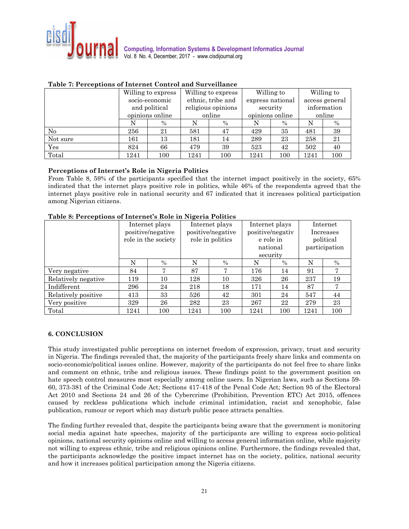

|          | Willing to express |      |                    | Willing to express |      | Willing to       | Willing to     |      |  |
|----------|--------------------|------|--------------------|--------------------|------|------------------|----------------|------|--|
|          | socio-economic     |      | ethnic, tribe and  |                    |      | express national | access general |      |  |
|          | and political      |      | religious opinions |                    |      | security         | information    |      |  |
|          | opinions online    |      |                    | online             |      | opinions online  | online         |      |  |
|          |                    | $\%$ | N                  | $\%$               | N    | $\%$             |                | $\%$ |  |
| No       | 256                | 21   | 581                | 47                 | 429  | 35               | 481            | 39   |  |
| Not sure | 161                | 13   | 181                | 14                 | 289  | 23               | 258            | 21   |  |
| Yes      | 824                | 66   | 479                | 39                 | 523  | 42               | 502            | 40   |  |
| Total    | 1241               | 100  | 1241               | 100                | 1241 | 100              | 1241           | 100  |  |

### **Table 7: Perceptions of Internet Control and Surveillance**

### **Perceptions of Internet's Role in Nigeria Politics**

From Table 8, 59% of the participants specified that the internet impact positively in the society, 65% indicated that the internet plays positive role in politics, while 46% of the respondents agreed that the internet plays positive role in national security and 67 indicated that it increases political participation among Nigerian citizens.

|                     | Internet plays<br>positive/negative<br>role in the society |      |      | $= 2.5$<br>Internet plays<br>positive/negative<br>role in politics |                                | Internet plays<br>positive/negativ<br>e role in<br>national | Internet<br>Increases<br>political<br>participation |                |  |
|---------------------|------------------------------------------------------------|------|------|--------------------------------------------------------------------|--------------------------------|-------------------------------------------------------------|-----------------------------------------------------|----------------|--|
|                     | N                                                          | $\%$ | N    | $\%$                                                               | security<br>N<br>$\frac{0}{0}$ |                                                             | N                                                   | $\%$           |  |
| Very negative       | 84                                                         | π    | 87   | 7                                                                  | 176                            | 14                                                          | 91                                                  | $\overline{7}$ |  |
| Relatively negative | 119                                                        | 10   | 128  | 10                                                                 | 326                            | 26                                                          | 237                                                 | 19             |  |
| Indifferent         | 296                                                        | 24   | 218  | 18                                                                 | 171                            | 14                                                          | 87                                                  | 7              |  |
| Relatively positive | 413                                                        | 33   | 526  | 42                                                                 | 301                            | 24                                                          | 547                                                 | 44             |  |
| Very positive       | 329                                                        | 26   | 282  | 23                                                                 | 267                            | 22                                                          | 279                                                 | 23             |  |
| Total               | 1241                                                       | 100  | 1241 | 100                                                                | 1241                           | 100                                                         | 1241                                                | 100            |  |

# **Table 8: Perceptions of Internet's Role in Nigeria Politics**

#### **6. CONCLUSION**

This study investigated public perceptions on internet freedom of expression, privacy, trust and security in Nigeria. The findings revealed that, the majority of the participants freely share links and comments on socio-economic/political issues online. However, majority of the participants do not feel free to share links and comment on ethnic, tribe and religious issues. These findings point to the government position on hate speech control measures most especially among online users. In Nigerian laws, such as Sections 59- 60, 373-381 of the Criminal Code Act; Sections 417-418 of the Penal Code Act; Section 95 of the Electoral Act 2010 and Sections 24 and 26 of the Cybercrime (Prohibition, Prevention ETC) Act 2015, offences caused by reckless publications which include criminal intimidation, racist and xenophobic, false publication, rumour or report which may disturb public peace attracts penalties.

The finding further revealed that, despite the participants being aware that the government is monitoring social media against hate speeches, majority of the participants are willing to express socio-political opinions, national security opinions online and willing to access general information online, while majority not willing to express ethnic, tribe and religious opinions online. Furthermore, the findings revealed that, the participants acknowledge the positive impact internet has on the society, politics, national security and how it increases political participation among the Nigeria citizens.